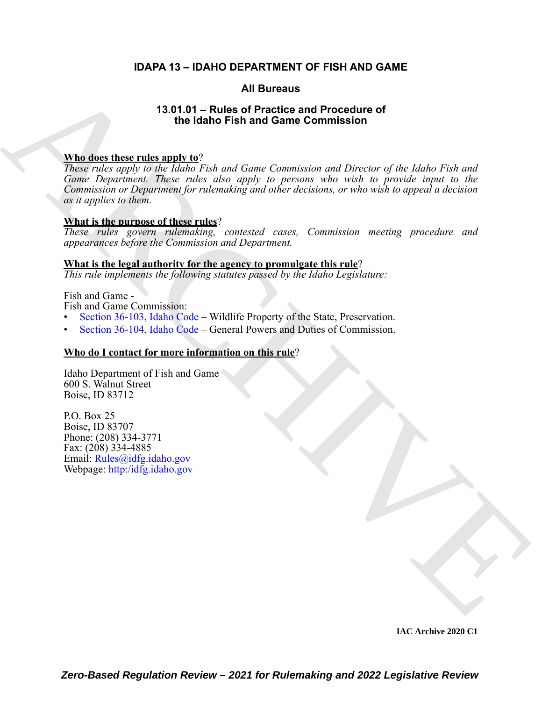#### **IDAPA 13 – IDAHO DEPARTMENT OF FISH AND GAME**

#### **All Bureaus**

#### **13.01.01 – Rules of Practice and Procedure of the Idaho Fish and Game Commission**

#### **Who does these rules apply to**?

AR[C](https://legislature.idaho.gov/statutesrules/idstat/Title36/T36CH1/SECT36-103/)H[IV](mailto:Rules@idfg.idaho.gov)E *These rules apply to the Idaho Fish and Game Commission and Director of the Idaho Fish and Game Department. These rules also apply to persons who wish to provide input to the Commission or Department for rulemaking and other decisions, or who wish to appeal a decision as it applies to them.* 

#### **What is the purpose of these rules**?

*These rules govern rulemaking, contested cases, Commission meeting procedure and appearances before the Commission and Department.* 

#### **What is the legal authority for the agency to promulgate this rule**?

*This rule implements the following statutes passed by the Idaho Legislature:*

#### Fish and Game -

Fish and Game Commission:

- Section 36-103, Idaho Code Wildlife Property of the State, Preservation.
- Section 36-104, Idaho Code General Powers and Duties of Commission.

#### **Who do I contact for more information on this rule**?

Idaho Department of Fish and Game 600 S. Walnut Street Boise, ID 83712

P.O. Box 25 Boise, ID 83707 Phone: (208) 334-3771 Fax: (208) 334-4885 Email: Rules@idfg.idaho.gov Webpage: http:/idfg.idaho.gov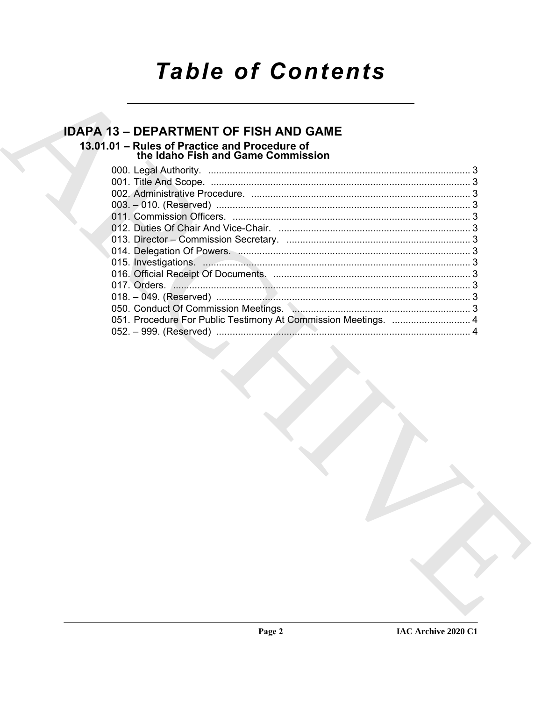# **Table of Contents**

### **IDAPA 13 - DEPARTMENT OF FISH AND GAME**

## 13.01.01 - Rules of Practice and Procedure of<br>the Idaho Fish and Game Commission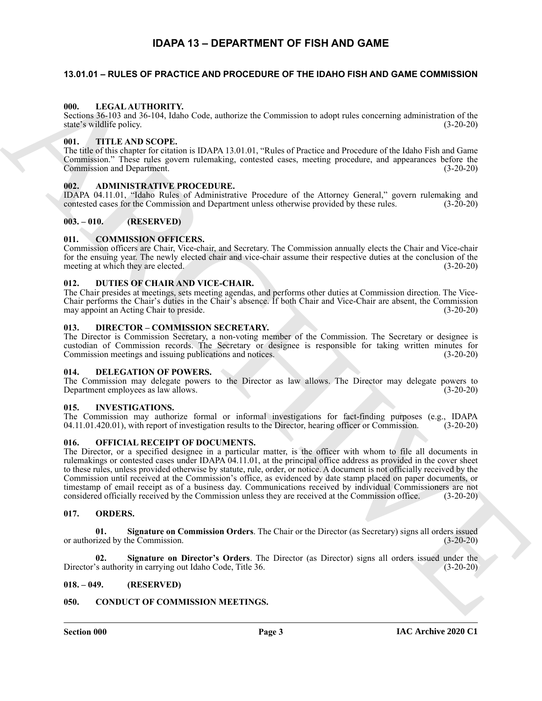### **IDAPA 13 – DEPARTMENT OF FISH AND GAME**

#### <span id="page-2-1"></span><span id="page-2-0"></span>**13.01.01 – RULES OF PRACTICE AND PROCEDURE OF THE IDAHO FISH AND GAME COMMISSION**

#### <span id="page-2-22"></span><span id="page-2-2"></span>**000. LEGAL AUTHORITY.**

Sections 36-103 and 36-104, Idaho Code, authorize the Commission to adopt rules concerning administration of the state's wildlife policy. (3-20-20)

#### <span id="page-2-27"></span><span id="page-2-3"></span>**001. TITLE AND SCOPE.**

The title of this chapter for citation is IDAPA 13.01.01, "Rules of Practice and Procedure of the Idaho Fish and Game Commission." These rules govern rulemaking, contested cases, meeting procedure, and appearances before the Commission and Department. (3-20-20)

#### <span id="page-2-15"></span><span id="page-2-4"></span>**002. ADMINISTRATIVE PROCEDURE.**

IDAPA 04.11.01, "Idaho Rules of Administrative Procedure of the Attorney General," govern rulemaking and contested cases for the Commission and Department unless otherwise provided by these rules. (3-20-20)

#### <span id="page-2-5"></span>**003. – 010. (RESERVED)**

#### <span id="page-2-16"></span><span id="page-2-6"></span>**011. COMMISSION OFFICERS.**

Commission officers are Chair, Vice-chair, and Secretary. The Commission annually elects the Chair and Vice-chair for the ensuing year. The newly elected chair and vice-chair assume their respective duties at the conclusion of the meeting at which they are elected. (3-20-20)

#### <span id="page-2-20"></span><span id="page-2-7"></span>**012. DUTIES OF CHAIR AND VICE-CHAIR.**

The Chair presides at meetings, sets meeting agendas, and performs other duties at Commission direction. The Vice-Chair performs the Chair's duties in the Chair's absence. If both Chair and Vice-Chair are absent, the Commission may appoint an Acting Chair to preside. (3-20-20)

#### <span id="page-2-19"></span><span id="page-2-8"></span>**013. DIRECTOR – COMMISSION SECRETARY.**

The Director is Commission Secretary, a non-voting member of the Commission. The Secretary or designee is custodian of Commission records. The Secretary or designee is responsible for taking written minutes for Commission meetings and issuing publications and notices. (3-20-20)

#### <span id="page-2-18"></span><span id="page-2-9"></span>**014. DELEGATION OF POWERS.**

The Commission may delegate powers to the Director as law allows. The Director may delegate powers to Department employees as law allows. (3-20-20)

#### <span id="page-2-21"></span><span id="page-2-10"></span>**015. INVESTIGATIONS.**

The Commission may authorize formal or informal investigations for fact-finding purposes (e.g., IDAPA 04.11.01.420.01), with report of investigation results to the Director, hearing officer or Commission. (3-20-20) 04.11.01.420.01), with report of investigation results to the Director, hearing officer or Commission.

#### <span id="page-2-23"></span><span id="page-2-11"></span>**016. OFFICIAL RECEIPT OF DOCUMENTS.**

69.<br>
Scale 36.50 and 114000011 Y<sub>0</sub><br>
Scale 36.50 and 11400011 Y<sub>0</sub><br>
Scale 36.50 and 12.41 AD (1400 Cole, encourage the Commission to slopt radio exceeding schemation<br>
(i.e., TTHE ARCHIVE THE CONDITION CONTINUES). The stat The Director, or a specified designee in a particular matter, is the officer with whom to file all documents in rulemakings or contested cases under IDAPA 04.11.01, at the principal office address as provided in the cover sheet to these rules, unless provided otherwise by statute, rule, order, or notice. A document is not officially received by the Commission until received at the Commission's office, as evidenced by date stamp placed on paper documents, or timestamp of email receipt as of a business day. Communications received by individual Commissioners are not considered officially received by the Commission unless they are received at the Commission office. (3-20-20)

#### <span id="page-2-24"></span><span id="page-2-12"></span>**017. ORDERS.**

<span id="page-2-25"></span>**01. Signature on Commission Orders**. The Chair or the Director (as Secretary) signs all orders issued or authorized by the Commission.

<span id="page-2-26"></span>**02. Signature on Director's Orders**. The Director (as Director) signs all orders issued under the Director's authority in carrying out Idaho Code, Title 36. (3-20-20)

#### <span id="page-2-13"></span>**018. – 049. (RESERVED)**

#### <span id="page-2-17"></span><span id="page-2-14"></span>**050. CONDUCT OF COMMISSION MEETINGS.**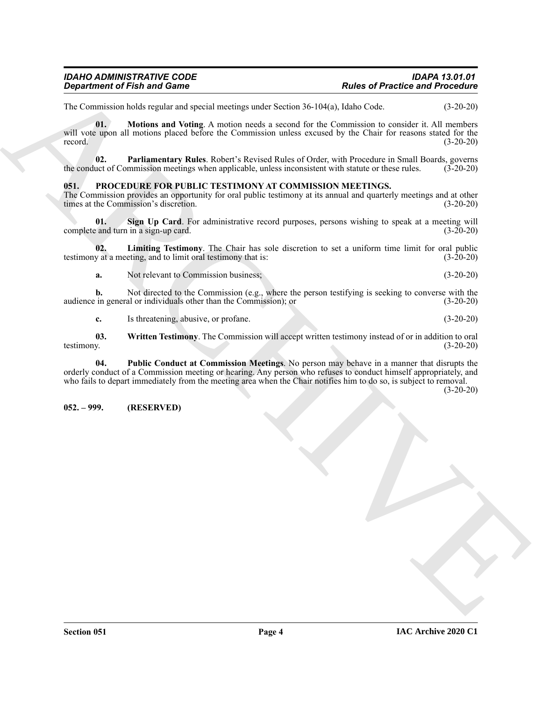### *IDAHO ADMINISTRATIVE CODE IDAPA 13.01.01*

<span id="page-3-2"></span>The Commission holds regular and special meetings under Section 36-104(a), Idaho Code. (3-20-20)

*Department of Finit and Game*<br>
The of *Phase of Phase of Phase of Phase of Phase of <i>Phase of Phase of Phase of Phase of Phase of the Control in the Control in the Control in the Control in the Control in the Control in* **01. Motions and Voting**. A motion needs a second for the Commission to consider it. All members will vote upon all motions placed before the Commission unless excused by the Chair for reasons stated for the record.  $(3-20-20)$ 

<span id="page-3-3"></span>**02. Parliamentary Rules**. Robert's Revised Rules of Order, with Procedure in Small Boards, governs the conduct of Commission meetings when applicable, unless inconsistent with statute or these rules. (3-20-20)

#### <span id="page-3-4"></span><span id="page-3-0"></span>**051. PROCEDURE FOR PUBLIC TESTIMONY AT COMMISSION MEETINGS.**

The Commission provides an opportunity for oral public testimony at its annual and quarterly meetings and at other times at the Commission's discretion. (3-20-20)

<span id="page-3-7"></span>**01. Sign Up Card**. For administrative record purposes, persons wishing to speak at a meeting will complete and turn in a sign-up card. (3-20-20)

**02. Limiting Testimony**. The Chair has sole discretion to set a uniform time limit for oral public testimony at a meeting, and to limit oral testimony that is:  $(3-20-20)$ 

<span id="page-3-5"></span>**a.** Not relevant to Commission business; (3-20-20)

**b.** Not directed to the Commission (e.g., where the person testifying is seeking to converse with the in general or individuals other than the Commission); or (3-20-20) audience in general or individuals other than the Commission); or

<span id="page-3-8"></span><span id="page-3-6"></span>**c.** Is threatening, abusive, or profane. (3-20-20)

**03.** Written Testimony. The Commission will accept written testimony instead of or in addition to oral testimony. (3-20-20) testimony. (3-20-20)

**04. Public Conduct at Commission Meetings**. No person may behave in a manner that disrupts the orderly conduct of a Commission meeting or hearing. Any person who refuses to conduct himself appropriately, and who fails to depart immediately from the meeting area when the Chair notifies him to do so, is subject to removal.

(3-20-20)

#### <span id="page-3-1"></span>**052. – 999. (RESERVED)**